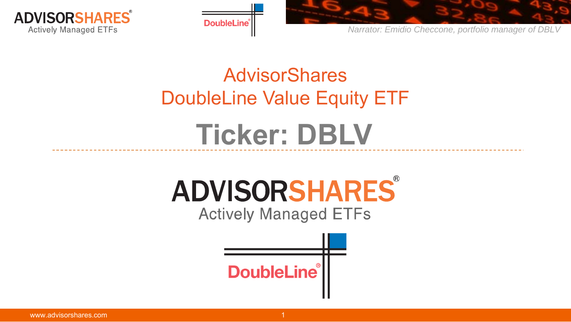





# AdvisorShares DoubleLine Value Equity ETF **Ticker: DBLV**

# ADVISORSHARES®

**Actively Managed ETFs** 

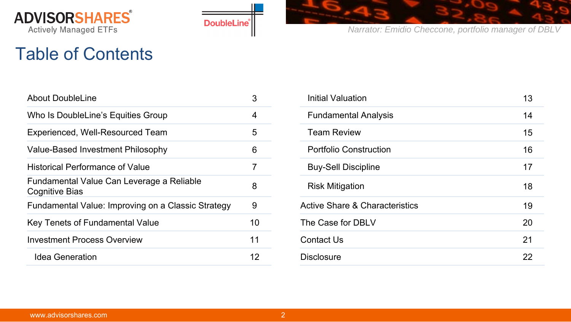



#### Table of Contents

| <b>About DoubleLine</b>                                            | 3  | <b>Initial Valuation</b>                  | 13 |
|--------------------------------------------------------------------|----|-------------------------------------------|----|
| Who Is DoubleLine's Equities Group                                 | 4  | <b>Fundamental Analysis</b>               | 14 |
| Experienced, Well-Resourced Team                                   | 5  | <b>Team Review</b>                        | 15 |
| <b>Value-Based Investment Philosophy</b>                           | 6  | <b>Portfolio Construction</b>             | 16 |
| <b>Historical Performance of Value</b>                             |    | <b>Buy-Sell Discipline</b>                | 17 |
| Fundamental Value Can Leverage a Reliable<br><b>Cognitive Bias</b> | 8  | <b>Risk Mitigation</b>                    | 18 |
| Fundamental Value: Improving on a Classic Strategy                 | 9  | <b>Active Share &amp; Characteristics</b> | 19 |
| <b>Key Tenets of Fundamental Value</b>                             | 10 | The Case for DBLV                         | 20 |
| <b>Investment Process Overview</b>                                 | 11 | <b>Contact Us</b>                         | 21 |
| <b>Idea Generation</b>                                             | 12 | <b>Disclosure</b>                         | 22 |
|                                                                    |    |                                           |    |

| 3               | <b>Initial Valuation</b>                  | 13 |
|-----------------|-------------------------------------------|----|
| 4               | <b>Fundamental Analysis</b>               | 14 |
| 5               | <b>Team Review</b>                        | 15 |
| 6               | <b>Portfolio Construction</b>             | 16 |
| $\overline{7}$  | <b>Buy-Sell Discipline</b>                | 17 |
| 8               | <b>Risk Mitigation</b>                    | 18 |
| 9               | <b>Active Share &amp; Characteristics</b> | 19 |
| $\overline{0}$  | The Case for DBLV                         | 20 |
| $\overline{11}$ | <b>Contact Us</b>                         | 21 |
| 12              | <b>Disclosure</b>                         | 22 |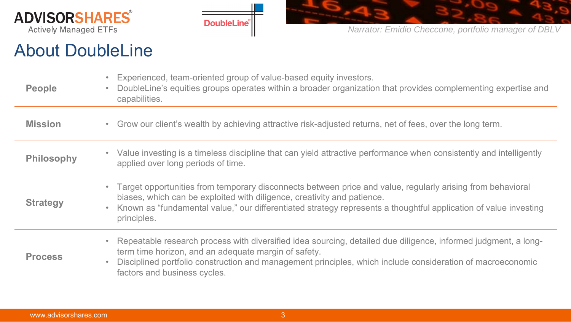





#### About DoubleLine

| <b>People</b>     | Experienced, team-oriented group of value-based equity investors.<br>$\bullet$<br>DoubleLine's equities groups operates within a broader organization that provides complementing expertise and<br>$\bullet$<br>capabilities.                                                                                                                  |
|-------------------|------------------------------------------------------------------------------------------------------------------------------------------------------------------------------------------------------------------------------------------------------------------------------------------------------------------------------------------------|
| <b>Mission</b>    | Grow our client's wealth by achieving attractive risk-adjusted returns, net of fees, over the long term.<br>$\bullet$                                                                                                                                                                                                                          |
| <b>Philosophy</b> | Value investing is a timeless discipline that can yield attractive performance when consistently and intelligently<br>$\bullet$ .<br>applied over long periods of time.                                                                                                                                                                        |
| <b>Strategy</b>   | • Target opportunities from temporary disconnects between price and value, regularly arising from behavioral<br>biases, which can be exploited with diligence, creativity and patience.<br>Known as "fundamental value," our differentiated strategy represents a thoughtful application of value investing<br>$\bullet$<br>principles.        |
| <b>Process</b>    | Repeatable research process with diversified idea sourcing, detailed due diligence, informed judgment, a long-<br>$\bullet$<br>term time horizon, and an adequate margin of safety.<br>Disciplined portfolio construction and management principles, which include consideration of macroeconomic<br>$\bullet$<br>factors and business cycles. |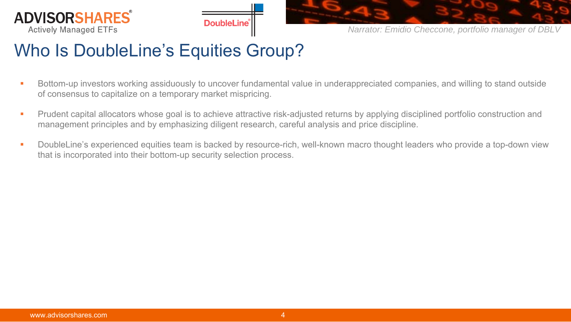





### Who Is DoubleLine's Equities Group?

- П Bottom-up investors working assiduously to uncover fundamental value in underappreciated companies, and willing to stand outside of consensus to capitalize on a temporary market mispricing.
- Prudent capital allocators whose goal is to achieve attractive risk-adjusted returns by applying disciplined portfolio construction and management principles and by emphasizing diligent research, careful analysis and price discipline.
- $\overline{\phantom{a}}$  DoubleLine's experienced equities team is backed by resource-rich, well-known macro thought leaders who provide a top-down view that is incorporated into their bottom-up security selection process.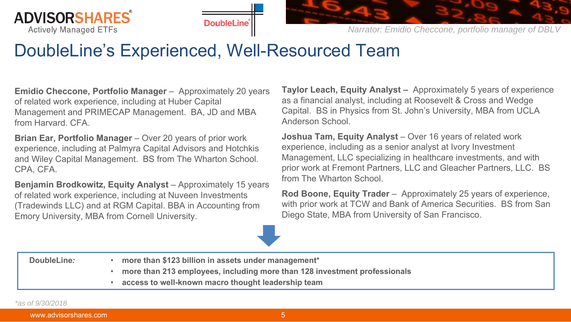





#### DoubleLine's Experienced, Well-Resourced Team

**Emidio Checcone, Portfolio Manager** – Approximately 20 years of related work experience, including at Huber Capital Management and PRIMECAP Management. BA, JD and MBA from Harvard. CFA.

**Brian Ear, Portfolio Manager** – Over 20 years of prior work experience, including at Palmyra Capital Advisors and Hotchkis and Wiley Capital Management. BS from The Wharton School. CPA, CFA.

**Benjamin Brodkowitz, Equity Analyst** – Approximately 15 years of related work experience, including at Nuveen Investments (Tradewinds LLC) and at RGM Capital. BBA in Accounting from Emory University, MBA from Cornell University.

**Taylor Leach, Equity Analyst –** Approximately 5 years of experience as a financial analyst, including at Roosevelt & Cross and Wedge Capital. BS in Physics from St. John's University, MBA from UCLA Anderson School.

**Joshua Tam, Equity Analyst** – Over 16 years of related work experience, including as a senior analyst at Ivory Investment Management, LLC specializing in healthcare investments, and with prior work at Fremont Partners, LLC and Gleacher Partners, LLC. BS from The Wharton School.

**Rod Boone, Equity Trader** – Approximately 25 years of experience, with prior work at TCW and Bank of America Securities. BS from San Diego State, MBA from University of San Francisco.

**DoubleLine***:*

- • **more than \$123 billion in assets under management\***
	- •**more than 213 employees, including more than 128 investment professionals**
	- $\bullet$ **access to well-known macro thought leadership team**

*\*as of 9/30/2018*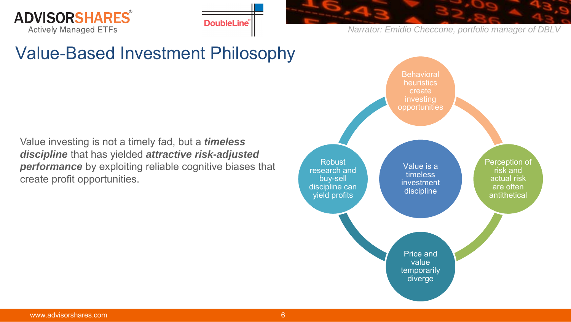



### Value-Based Investment Philosophy

Value investing is not a timely fad, but a *timeless discipline* that has yielded *attractive risk-adjusted performance* by exploiting reliable cognitive biases that create profit opportunities.

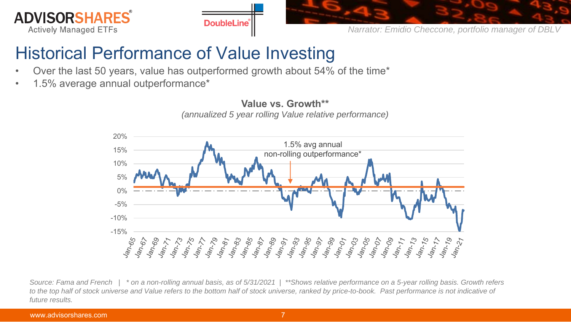





### Historical Performance of Value Investing

- •Over the last 50 years, value has outperformed growth about 54% of the time\*
- •1.5% average annual outperformance\*



*Source: Fama and French | \* on a non-rolling annual basis, as of 5/31/2021 | \*\*Shows relative performance on a 5-year rolling basis. Growth refers*  to the top half of stock universe and Value refers to the bottom half of stock universe, ranked by price-to-book. Past performance is not indicative of *future results.*

# **Value vs. Growth\*\***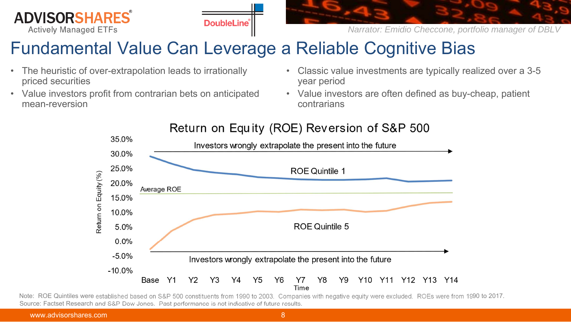





### Fundamental Value Can Leverage a Reliable Cognitive Bias

- $\bullet$  The heuristic of over-extrapolation leads to irrationally priced securities
- $\bullet$  Value investors profit from contrarian bets on anticipated mean-reversion
- • Classic value investments are typically realized over a 3-5 year period
- Value investors are often defined as buy-cheap, patient contrarians



#### Return on Equity (ROE) Reversion of S&P 500

Note: ROE Quintiles were established based on S&P 500 constituents from 1990 to 2003. Companies with negative equity were excluded. ROEs were from 1990 to 2017. Source: Factset Research and S&P Dow Jones. Past performance is not indicative of future results.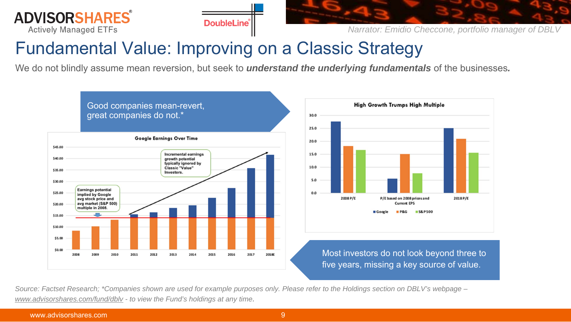





### Fundamental Value: Improving on a Classic Strategy

We do not blindly assume mean reversion, but seek to *understand the underlying fundamentals* of the businesses*.*



*Source: Factset Research; \*Companies shown are used for example purposes only. Please refer to the Holdings section on DBLV's webpage – www.advisorshares.com/fund/dblv - to view the Fund's holdings at any time.*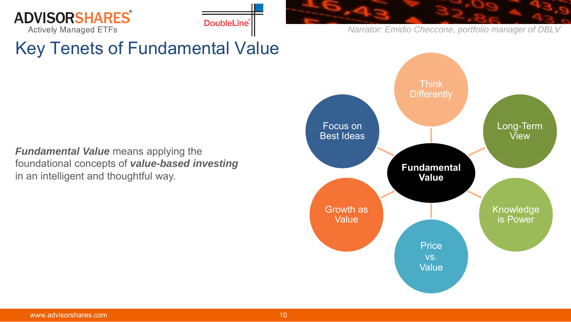



### Key Tenets of Fundamental Value

*Fundamental Value* means applying the foundational concepts of *value-based investing* in an intelligent and thoughtful way.

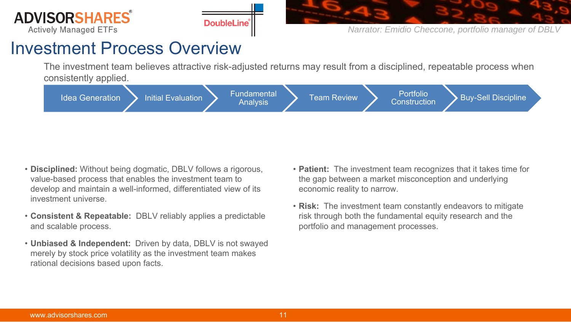





#### Investment Process Overview

The investment team believes attractive risk-adjusted returns may result from a disciplined, repeatable process when consistently applied.



- **Disciplined:** Without being dogmatic, DBLV follows a rigorous, value-based process that enables the investment team to develop and maintain a well-informed, differentiated view of its investment universe.
- **Consistent & Repeatable:** DBLV reliably applies a predictable and scalable process.
- **Unbiased & Independent:** Driven by data, DBLV is not swayed merely by stock price volatility as the investment team makes rational decisions based upon facts.
- **Patient:** The investment team recognizes that it takes time for the gap between a market misconception and underlying economic reality to narrow.
- **Risk:** The investment team constantly endeavors to mitigate risk through both the fundamental equity research and the portfolio and management processes.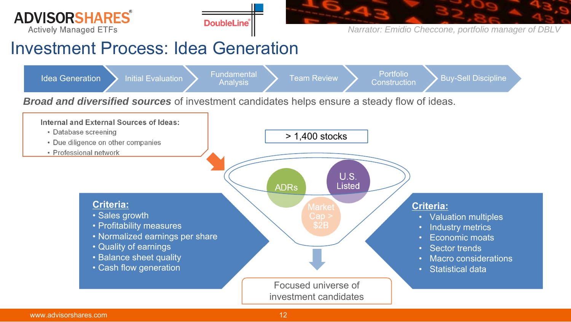





#### Investment Process: Idea Generation

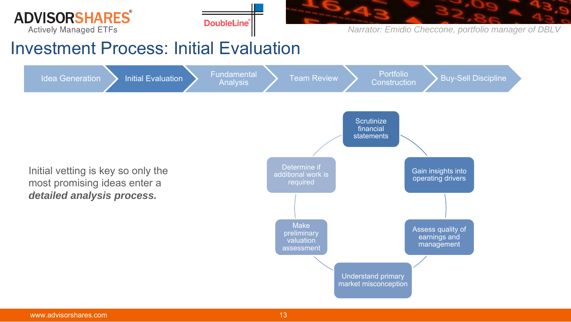





#### Investment Process: Initial Evaluation

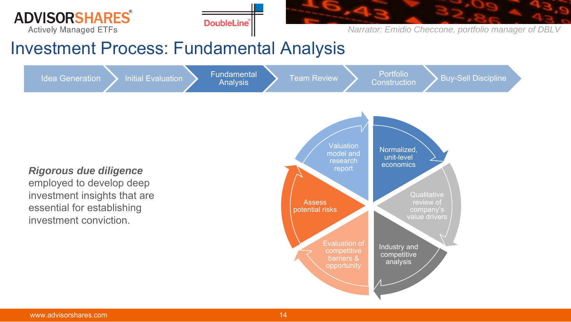





#### Investment Process: Fundamental Analysis

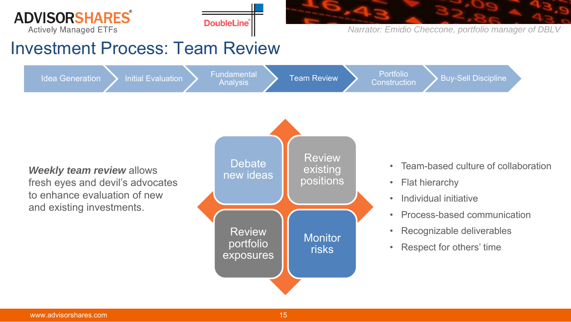





#### Investment Process: Team Review

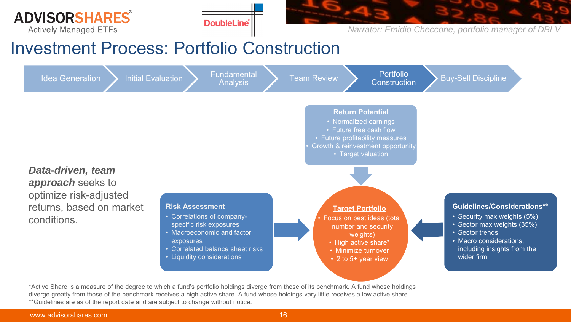





#### Investment Process: Portfolio Construction



\*Active Share is a measure of the degree to which a fund's portfolio holdings diverge from those of its benchmark. A fund whose holdings diverge greatly from those of the benchmark receives a high active share. A fund whose holdings vary little receives a low active share. \*\*Guidelines are as of the report date and are subject to change without notice.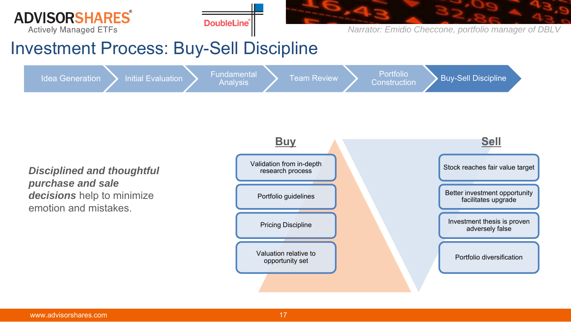





#### Investment Process: Buy-Sell Discipline

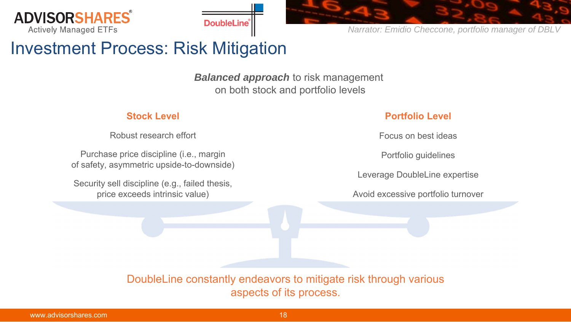





#### Investment Process: Risk Mitigation

**Balanced approach** to risk management on both stock and portfolio levels

#### **Stock Level**

Robust research effort

Purchase price discipline (i.e., margin of safety, asymmetric upside-to-downside)

Security sell discipline (e.g., failed thesis, price exceeds intrinsic value)

#### **Portfolio Level**

Focus on best ideas

Portfolio guidelines

Leverage DoubleLine expertise

Avoid excessive portfolio turnover

DoubleLine constantly endeavors to mitigate risk through various aspects of its process.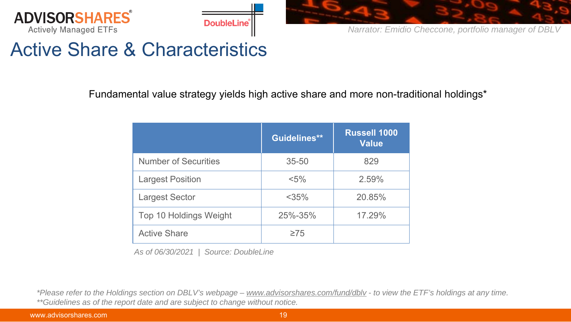





### Active Share & Characteristics

Fundamental value strategy yields high active share and more non-traditional holdings\*

|                               | Guidelines** | <b>Russell 1000</b><br><b>Value</b> |
|-------------------------------|--------------|-------------------------------------|
| <b>Number of Securities</b>   | $35 - 50$    | 829                                 |
| <b>Largest Position</b>       | $< 5\%$      | 2.59%                               |
| <b>Largest Sector</b>         | $<$ 35%      | 20.85%                              |
| <b>Top 10 Holdings Weight</b> | 25%-35%      | 17.29%                              |
| <b>Active Share</b>           | $\geq 75$    |                                     |

*As of 06/30/2021 | Source: DoubleLine*

*\*Please refer to the Holdings section on DBLV's webpage – www.advisorshares.com/fund/dblv - to view the ETF's holdings at any time. \*\*Guidelines as of the report date and are subject to change without notice.*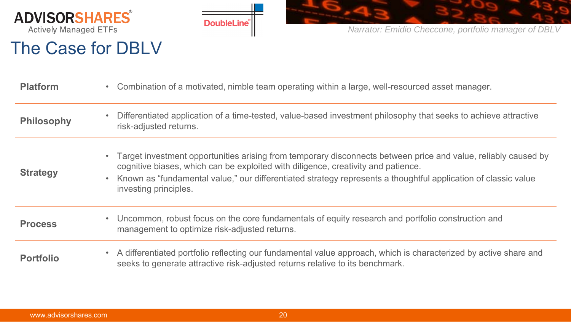

The Case for DBLV



*Narrator: Emidio Checcone, portfolio manager of DBLV* 

#### **Platform** • Combination of a motivated, nimble team operating within a large, well-resourced asset manager. **Philosophy** • Differentiated application of a time-tested, value-based investment philosophy that seeks to achieve attractive risk-adjusted returns. **Strategy** • Target investment opportunities arising from temporary disconnects between price and value, reliably caused by cognitive biases, which can be exploited with diligence, creativity and patience. • Known as "fundamental value," our differentiated strategy represents a thoughtful application of classic value investing principles. **Process** • Uncommon, robust focus on the core fundamentals of equity research and portfolio construction and management to optimize risk-adjusted returns. **Portfolio**• A differentiated portfolio reflecting our fundamental value approach, which is characterized by active share and<br>seeks to generate attractive risk-adjusted returns relative to its benchmark.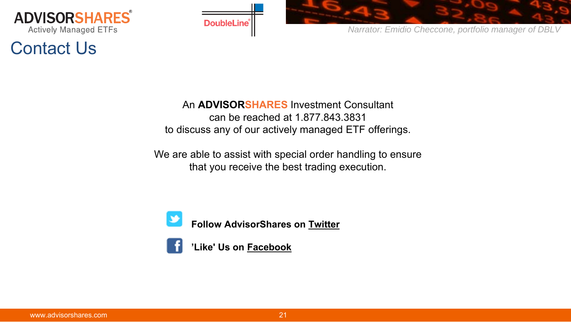

### Contact Us



*Narrator: Emidio Checcone, portfolio manager of DBLV* 

#### An **ADVISORSHARES** Investment Consultant can be reached at 1.877.843.3831 to discuss any of our actively managed ETF offerings.

We are able to assist with special order handling to ensure that you receive the best trading execution.



**Follow AdvisorShares on Twitter**

**'Like' Us on Facebook**